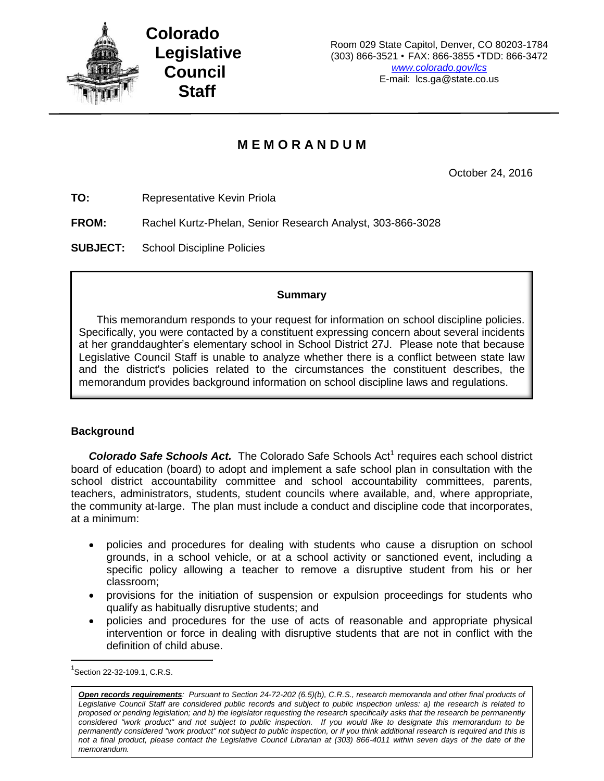

# **M E M O R A N D U M**

October 24, 2016

**TO:** Representative Kevin Priola

**FROM:** Rachel Kurtz-Phelan, Senior Research Analyst, 303-866-3028

**SUBJECT:** School Discipline Policies

## **Summary**

This memorandum responds to your request for information on school discipline policies. Specifically, you were contacted by a constituent expressing concern about several incidents at her granddaughter's elementary school in School District 27J. Please note that because Legislative Council Staff is unable to analyze whether there is a conflict between state law and the district's policies related to the circumstances the constituent describes, the memorandum provides background information on school discipline laws and regulations.

## **Background**

**Colorado Safe Schools Act.** The Colorado Safe Schools Act<sup>1</sup> requires each school district board of education (board) to adopt and implement a safe school plan in consultation with the school district accountability committee and school accountability committees, parents, teachers, administrators, students, student councils where available, and, where appropriate, the community at-large. The plan must include a conduct and discipline code that incorporates, at a minimum:

- policies and procedures for dealing with students who cause a disruption on school grounds, in a school vehicle, or at a school activity or sanctioned event, including a specific policy allowing a teacher to remove a disruptive student from his or her classroom;
- provisions for the initiation of suspension or expulsion proceedings for students who qualify as habitually disruptive students; and
- policies and procedures for the use of acts of reasonable and appropriate physical intervention or force in dealing with disruptive students that are not in conflict with the definition of child abuse.

 $\overline{\phantom{a}}$ 

 $^{1}$ Section 22-32-109.1, C.R.S.

*Open records requirements: Pursuant to Section 24-72-202 (6.5)(b), C.R.S., research memoranda and other final products of Legislative Council Staff are considered public records and subject to public inspection unless: a) the research is related to proposed or pending legislation; and b) the legislator requesting the research specifically asks that the research be permanently considered "work product" and not subject to public inspection. If you would like to designate this memorandum to be*  permanently considered "work product" not subject to public inspection, or if you think additional research is required and this is *not a final product, please contact the Legislative Council Librarian at (303) 866-4011 within seven days of the date of the memorandum.*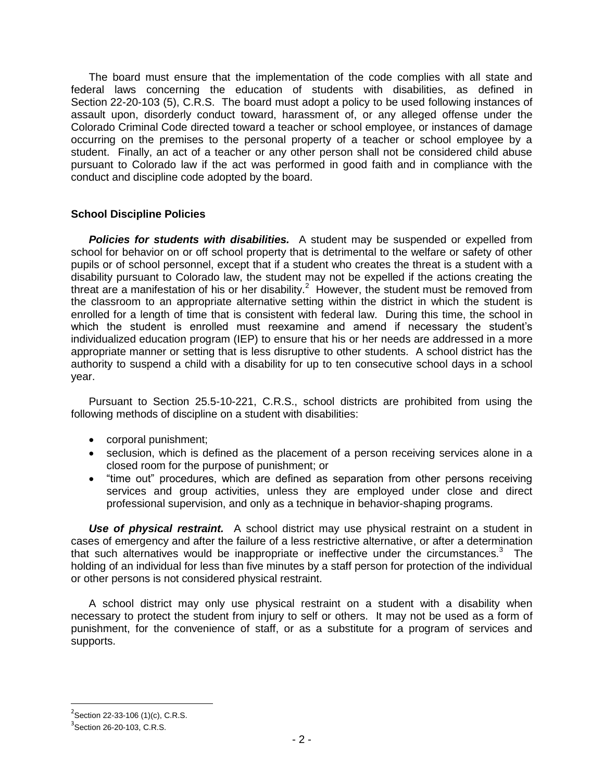The board must ensure that the implementation of the code complies with all state and federal laws concerning the education of students with disabilities, as defined in Section 22-20-103 (5), C.R.S. The board must adopt a policy to be used following instances of assault upon, disorderly conduct toward, harassment of, or any alleged offense under the Colorado Criminal Code directed toward a teacher or school employee, or instances of damage occurring on the premises to the personal property of a teacher or school employee by a student. Finally, an act of a teacher or any other person shall not be considered child abuse pursuant to Colorado law if the act was performed in good faith and in compliance with the conduct and discipline code adopted by the board.

## **School Discipline Policies**

*Policies for students with disabilities.* A student may be suspended or expelled from school for behavior on or off school property that is detrimental to the welfare or safety of other pupils or of school personnel, except that if a student who creates the threat is a student with a disability pursuant to Colorado law, the student may not be expelled if the actions creating the threat are a manifestation of his or her disability.<sup>2</sup> However, the student must be removed from the classroom to an appropriate alternative setting within the district in which the student is enrolled for a length of time that is consistent with federal law. During this time, the school in which the student is enrolled must reexamine and amend if necessary the student's individualized education program (IEP) to ensure that his or her needs are addressed in a more appropriate manner or setting that is less disruptive to other students. A school district has the authority to suspend a child with a disability for up to ten consecutive school days in a school year.

Pursuant to Section 25.5-10-221, C.R.S., school districts are prohibited from using the following methods of discipline on a student with disabilities:

- corporal punishment;
- seclusion, which is defined as the placement of a person receiving services alone in a closed room for the purpose of punishment; or
- "time out" procedures, which are defined as separation from other persons receiving services and group activities, unless they are employed under close and direct professional supervision, and only as a technique in behavior-shaping programs.

*Use of physical restraint.* A school district may use physical restraint on a student in cases of emergency and after the failure of a less restrictive alternative, or after a determination that such alternatives would be inappropriate or ineffective under the circumstances. $3$  The holding of an individual for less than five minutes by a staff person for protection of the individual or other persons is not considered physical restraint.

A school district may only use physical restraint on a student with a disability when necessary to protect the student from injury to self or others. It may not be used as a form of punishment, for the convenience of staff, or as a substitute for a program of services and supports.

l

 $2$ Section 22-33-106 (1)(c), C.R.S.

 $3$ Section 26-20-103, C.R.S.